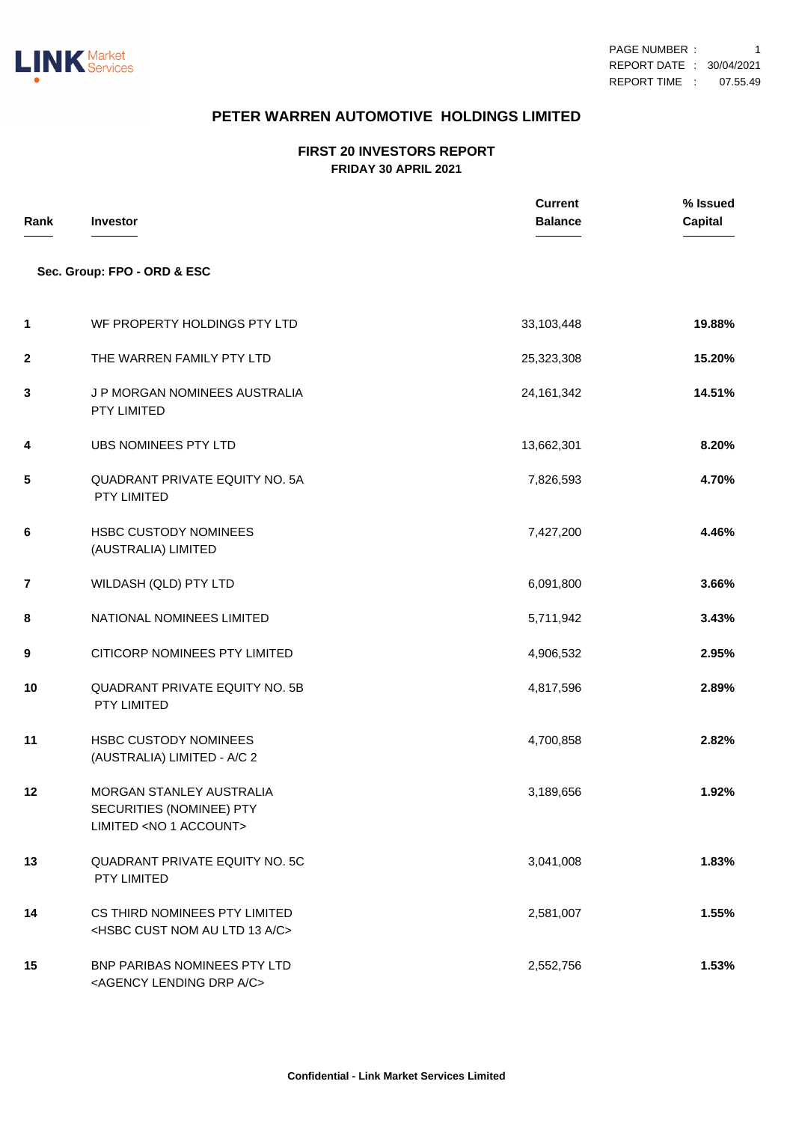

## **PETER WARREN AUTOMOTIVE HOLDINGS LIMITED**

## **FIRST 20 INVESTORS REPORT FRIDAY 30 APRIL 2021**

| Rank        | <b>Investor</b>                                                                            | <b>Current</b><br><b>Balance</b> | % Issued<br><b>Capital</b> |
|-------------|--------------------------------------------------------------------------------------------|----------------------------------|----------------------------|
|             | Sec. Group: FPO - ORD & ESC                                                                |                                  |                            |
| 1           | WF PROPERTY HOLDINGS PTY LTD                                                               | 33,103,448                       | 19.88%                     |
| $\mathbf 2$ | THE WARREN FAMILY PTY LTD                                                                  | 25,323,308                       | 15.20%                     |
| 3           | J P MORGAN NOMINEES AUSTRALIA<br>PTY LIMITED                                               | 24, 161, 342                     | 14.51%                     |
| 4           | UBS NOMINEES PTY LTD                                                                       | 13,662,301                       | 8.20%                      |
| 5           | <b>QUADRANT PRIVATE EQUITY NO. 5A</b><br>PTY LIMITED                                       | 7,826,593                        | 4.70%                      |
| 6           | <b>HSBC CUSTODY NOMINEES</b><br>(AUSTRALIA) LIMITED                                        | 7,427,200                        | 4.46%                      |
| 7           | WILDASH (QLD) PTY LTD                                                                      | 6,091,800                        | 3.66%                      |
| 8           | NATIONAL NOMINEES LIMITED                                                                  | 5,711,942                        | 3.43%                      |
| 9           | CITICORP NOMINEES PTY LIMITED                                                              | 4,906,532                        | 2.95%                      |
| 10          | <b>QUADRANT PRIVATE EQUITY NO. 5B</b><br>PTY LIMITED                                       | 4,817,596                        | 2.89%                      |
| 11          | <b>HSBC CUSTODY NOMINEES</b><br>(AUSTRALIA) LIMITED - A/C 2                                | 4,700,858                        | 2.82%                      |
| 12          | MORGAN STANLEY AUSTRALIA<br>SECURITIES (NOMINEE) PTY<br>LIMITED <no 1="" account=""></no>  | 3,189,656                        | 1.92%                      |
| 13          | QUADRANT PRIVATE EQUITY NO. 5C<br>PTY LIMITED                                              | 3,041,008                        | 1.83%                      |
| 14          | CS THIRD NOMINEES PTY LIMITED<br><hsbc 13="" a="" au="" c="" cust="" ltd="" nom=""></hsbc> | 2,581,007                        | 1.55%                      |
| 15          | BNP PARIBAS NOMINEES PTY LTD<br><agency a="" c="" drp="" lending=""></agency>              | 2,552,756                        | 1.53%                      |